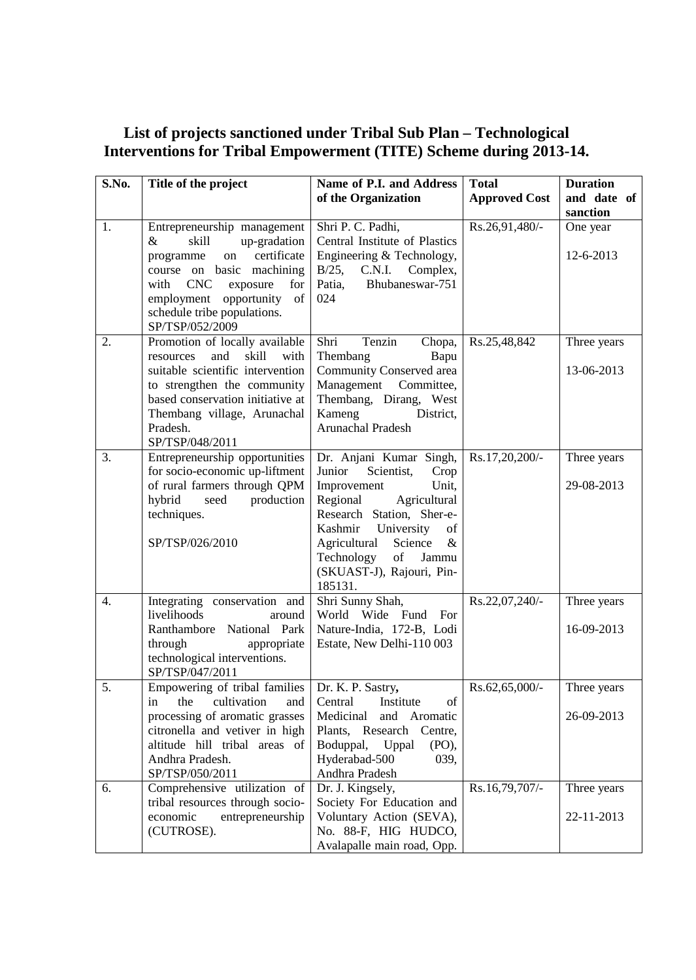## **List of projects sanctioned under Tribal Sub Plan – Technological Interventions for Tribal Empowerment (TITE) Scheme during 2013-14.**

| S.No. | Title of the project                                                                                                                                                                                                                             | Name of P.I. and Address                                                                                                                                                                                                                                                                                                                                                        | <b>Total</b>         | <b>Duration</b>           |
|-------|--------------------------------------------------------------------------------------------------------------------------------------------------------------------------------------------------------------------------------------------------|---------------------------------------------------------------------------------------------------------------------------------------------------------------------------------------------------------------------------------------------------------------------------------------------------------------------------------------------------------------------------------|----------------------|---------------------------|
|       |                                                                                                                                                                                                                                                  | of the Organization                                                                                                                                                                                                                                                                                                                                                             | <b>Approved Cost</b> | and date of               |
|       |                                                                                                                                                                                                                                                  |                                                                                                                                                                                                                                                                                                                                                                                 |                      | sanction                  |
| 1.    | Entrepreneurship management<br>skill<br>up-gradation<br>&<br>certificate<br>on<br>programme<br>course on basic machining<br><b>CNC</b><br>exposure<br>with<br>for<br>employment opportunity of<br>schedule tribe populations.<br>SP/TSP/052/2009 | Shri P. C. Padhi,<br>Central Institute of Plastics<br>Engineering & Technology,<br>$B/25$ ,<br>C.N.I.<br>Complex,<br>Patia,<br>Bhubaneswar-751<br>024                                                                                                                                                                                                                           | Rs.26,91,480/-       | One year<br>12-6-2013     |
| 2.    | Promotion of locally available<br>and<br>skill<br>with<br>resources<br>suitable scientific intervention<br>to strengthen the community<br>based conservation initiative at<br>Thembang village, Arunachal<br>Pradesh.<br>SP/TSP/048/2011         | Tenzin<br>Shri<br>Chopa,<br>Thembang<br>Bapu<br>Community Conserved area<br>Management<br>Committee,<br>Thembang, Dirang, West<br>Kameng<br>District,<br><b>Arunachal Pradesh</b>                                                                                                                                                                                               | Rs.25,48,842         | Three years<br>13-06-2013 |
| 3.    | Entrepreneurship opportunities<br>for socio-economic up-liftment<br>of rural farmers through QPM<br>hybrid<br>production<br>seed<br>techniques.<br>SP/TSP/026/2010                                                                               | Dr. Anjani Kumar Singh,<br>Junior<br>Scientist,<br>Crop<br>Improvement<br>Unit,<br>Agricultural<br>Regional<br>Research Station, Sher-e-<br>University<br>Kashmir<br>of<br>Agricultural<br>Science<br>$\&$<br>$% \left( \left( \mathcal{A},\mathcal{A}\right) \right) =\left( \mathcal{A},\mathcal{A}\right)$ of<br>Technology<br>Jammu<br>(SKUAST-J), Rajouri, Pin-<br>185131. | Rs.17,20,200/-       | Three years<br>29-08-2013 |
| 4.    | Integrating conservation and<br>livelihoods<br>around<br>Ranthambore National Park<br>through<br>appropriate<br>technological interventions.<br>SP/TSP/047/2011                                                                                  | Shri Sunny Shah,<br>World Wide Fund For<br>Nature-India, 172-B, Lodi<br>Estate, New Delhi-110 003                                                                                                                                                                                                                                                                               | Rs.22,07,240/-       | Three years<br>16-09-2013 |
| 5.    | Empowering of tribal families   Dr. K. P. Sastry,<br>cultivation<br>the<br>and<br>in<br>processing of aromatic grasses<br>citronella and vetiver in high<br>altitude hill tribal areas of<br>Andhra Pradesh.<br>SP/TSP/050/2011                  | Central<br>Institute<br>of<br>Medicinal<br>and Aromatic<br>Plants, Research Centre,<br>Boduppal, Uppal<br>$(PO)$ ,<br>Hyderabad-500<br>039,<br>Andhra Pradesh                                                                                                                                                                                                                   | Rs.62,65,000/-       | Three years<br>26-09-2013 |
| 6.    | Comprehensive utilization of<br>tribal resources through socio-<br>economic<br>entrepreneurship<br>(CUTROSE).                                                                                                                                    | Dr. J. Kingsely,<br>Society For Education and<br>Voluntary Action (SEVA),<br>No. 88-F, HIG HUDCO,<br>Avalapalle main road, Opp.                                                                                                                                                                                                                                                 | Rs.16,79,707/-       | Three years<br>22-11-2013 |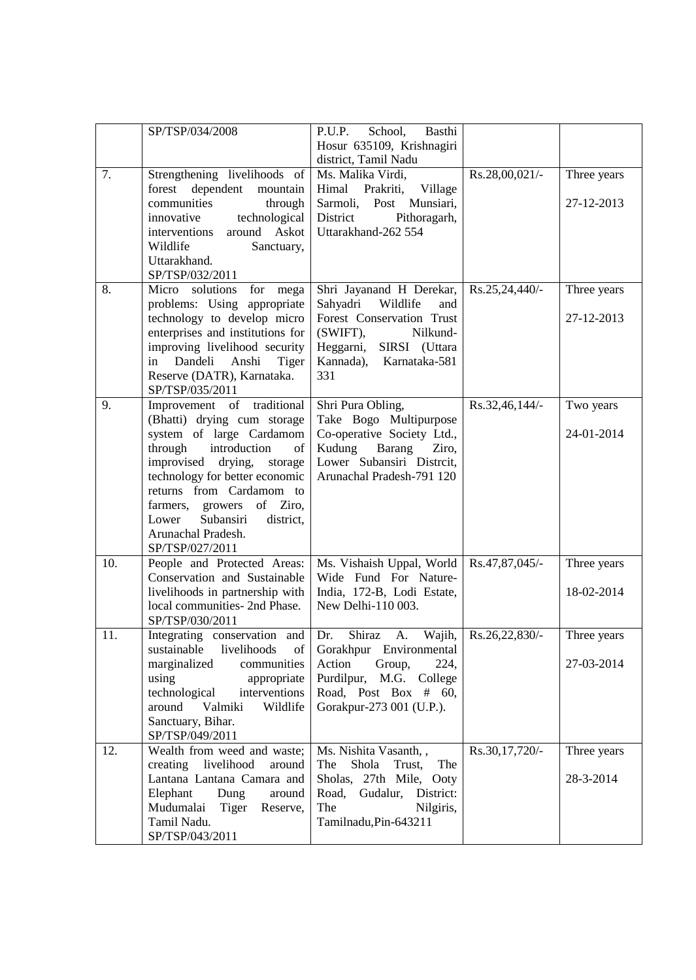|     | SP/TSP/034/2008                                                                                                                                                                                                                                                                                                                      | P.U.P.<br>School,<br>Basthi<br>Hosur 635109, Krishnagiri<br>district, Tamil Nadu                                                                                                |                       |                           |
|-----|--------------------------------------------------------------------------------------------------------------------------------------------------------------------------------------------------------------------------------------------------------------------------------------------------------------------------------------|---------------------------------------------------------------------------------------------------------------------------------------------------------------------------------|-----------------------|---------------------------|
| 7.  | Strengthening livelihoods of<br>dependent<br>forest<br>mountain<br>communities<br>through<br>technological<br>innovative<br>Askot<br>interventions<br>around<br>Wildlife<br>Sanctuary,<br>Uttarakhand.<br>SP/TSP/032/2011                                                                                                            | Ms. Malika Virdi,<br>Prakriti,<br>Village<br>Himal<br>Sarmoli, Post<br>Munsiari,<br>District<br>Pithoragarh,<br>Uttarakhand-262 554                                             | Rs.28,00,021/-        | Three years<br>27-12-2013 |
| 8.  | Micro solutions<br>for<br>mega<br>problems: Using appropriate<br>technology to develop micro<br>enterprises and institutions for<br>improving livelihood security<br>in Dandeli Anshi<br>Tiger<br>Reserve (DATR), Karnataka.<br>SP/TSP/035/2011                                                                                      | Shri Jayanand H Derekar,<br>Wildlife<br>Sahyadri<br>and<br>Forest Conservation Trust<br>$(SWIFT)$ ,<br>Nilkund-<br>SIRSI (Uttara<br>Heggarni,<br>Kannada), Karnataka-581<br>331 | Rs.25,24,440/-        | Three years<br>27-12-2013 |
| 9.  | Improvement of traditional<br>(Bhatti) drying cum storage<br>system of large Cardamom<br>through<br>introduction<br>of<br>improvised drying,<br>storage<br>technology for better economic<br>returns from Cardamom to<br>of Ziro,<br>farmers,<br>growers<br>Subansiri<br>Lower<br>district,<br>Arunachal Pradesh.<br>SP/TSP/027/2011 | Shri Pura Obling,<br>Take Bogo Multipurpose<br>Co-operative Society Ltd.,<br>Kudung<br>Barang<br>Ziro,<br>Lower Subansiri Distrcit,<br>Arunachal Pradesh-791 120                | Rs.32,46,144/-        | Two years<br>24-01-2014   |
| 10. | People and Protected Areas:<br>Conservation and Sustainable<br>livelihoods in partnership with<br>local communities- 2nd Phase.<br>SP/TSP/030/2011                                                                                                                                                                                   | Ms. Vishaish Uppal, World<br>Wide Fund For Nature-<br>India, 172-B, Lodi Estate,<br>New Delhi-110 003.                                                                          | Rs.47,87,045/-        | Three years<br>18-02-2014 |
| 11. | Integrating conservation and Dr.<br>livelihoods<br>sustainable<br>of<br>marginalized<br>communities<br>using<br>appropriate<br>technological<br>interventions<br>around<br>Valmiki<br>Wildlife<br>Sanctuary, Bihar.<br>SP/TSP/049/2011                                                                                               | Shiraz<br>A.<br>Gorakhpur Environmental<br>Action<br>Group,<br>224,<br>Purdilpur,<br>M.G. College<br>Road, Post Box # 60,<br>Gorakpur-273 001 (U.P.).                           | Wajih, Rs.26,22,830/- | Three years<br>27-03-2014 |
| 12. | Wealth from weed and waste;<br>creating livelihood<br>around<br>Lantana Lantana Camara and<br>Elephant<br>Dung<br>around<br>Mudumalai<br>Tiger<br>Reserve,<br>Tamil Nadu.<br>SP/TSP/043/2011                                                                                                                                         | Ms. Nishita Vasanth, ,<br>Shola<br>The<br>The<br>Trust,<br>Sholas, 27th Mile, Ooty<br>Road,<br>District:<br>Gudalur,<br>Nilgiris,<br>The<br>Tamilnadu, Pin-643211               | Rs.30,17,720/-        | Three years<br>28-3-2014  |